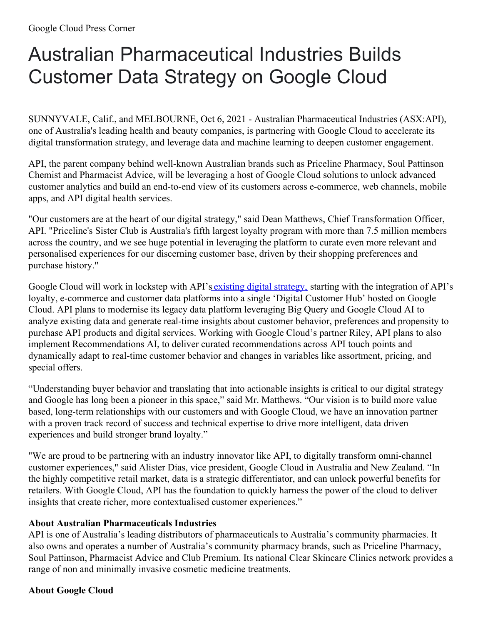## Australian Pharmaceutical Industries Builds Customer Data Strategy on Google Cloud

SUNNYVALE, Calif., and MELBOURNE, Oct 6, 2021 - Australian Pharmaceutical Industries (ASX:API), one of Australia's leading health and beauty companies, is partnering with Google Cloud to accelerate its digital transformation strategy, and leverage data and machine learning to deepen customer engagement.

API, the parent company behind well-known Australian brands such as Priceline Pharmacy, Soul Pattinson Chemist and Pharmacist Advice, will be leveraging a host of Google Cloud solutions to unlock advanced customer analytics and build an end-to-end view of its customers across e-commerce, web channels, mobile apps, and API digital health services.

"Our customers are at the heart of our digital strategy," said Dean Matthews, Chief Transformation Officer, API. "Priceline's Sister Club is Australia's fifth largest loyalty program with more than 7.5 million members across the country, and we see huge potential in leveraging the platform to curate even more relevant and personalised experiences for our discerning customer base, driven by their shopping preferences and purchase history."

Google Cloud will work in lockstep with API's existing digital [strategy,](https://www.api.net.au/wp-content/uploads/2021/08/Priceline-Pharmacy-Digital-Strategy-Media-Release.pdf) starting with the integration of API's loyalty, e-commerce and customer data platforms into a single 'Digital Customer Hub' hosted on Google Cloud. API plans to modernise its legacy data platform leveraging Big Query and Google Cloud AI to analyze existing data and generate real-time insights about customer behavior, preferences and propensity to purchase API products and digital services. Working with Google Cloud's partner Riley, API plans to also implement Recommendations AI, to deliver curated recommendations across API touch points and dynamically adapt to real-time customer behavior and changes in variables like assortment, pricing, and special offers.

"Understanding buyer behavior and translating that into actionable insights is critical to our digital strategy and Google has long been a pioneer in this space," said Mr. Matthews. "Our vision is to build more value based, long-term relationships with our customers and with Google Cloud, we have an innovation partner with a proven track record of success and technical expertise to drive more intelligent, data driven experiences and build stronger brand loyalty."

"We are proud to be partnering with an industry innovator like API, to digitally transform omni-channel customer experiences," said Alister Dias, vice president, Google Cloud in Australia and New Zealand. "In the highly competitive retail market, data is a strategic differentiator, and can unlock powerful benefits for retailers. With Google Cloud, API has the foundation to quickly harness the power of the cloud to deliver insights that create richer, more contextualised customer experiences."

## **About Australian Pharmaceuticals Industries**

API is one of Australia's leading distributors of pharmaceuticals to Australia's community pharmacies. It also owns and operates a number of Australia's community pharmacy brands, such as Priceline Pharmacy, Soul Pattinson, Pharmacist Advice and Club Premium. Its national Clear Skincare Clinics network provides a range of non and minimally invasive cosmetic medicine treatments.

## **About Google Cloud**